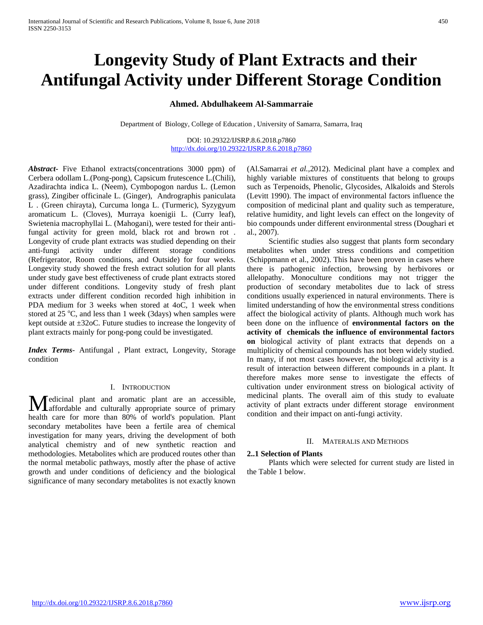# **Longevity Study of Plant Extracts and their Antifungal Activity under Different Storage Condition**

# **Ahmed. Abdulhakeem Al-Sammarraie**

Department of Biology, College of Education , University of Samarra, Samarra, Iraq

DOI: 10.29322/IJSRP.8.6.2018.p7860 <http://dx.doi.org/10.29322/IJSRP.8.6.2018.p7860>

*Abstract***-** Five Ethanol extracts(concentrations 3000 ppm) of Cerbera odollam L.(Pong-pong), Capsicum frutescence L.(Chili), Azadirachta indica L. (Neem), Cymbopogon nardus L. (Lemon grass), Zingiber officinale L. (Ginger), Andrographis paniculata L . (Green chirayta), Curcuma longa L. (Turmeric), Syzygyum aromaticum L. (Cloves), Murraya koenigii L. (Curry leaf), Swietenia macrophyllai L. (Mahogani), were tested for their antifungal activity for green mold, black rot and brown rot . Longevity of crude plant extracts was studied depending on their anti-fungi activity under different storage conditions (Refrigerator, Room conditions, and Outside) for four weeks. Longevity study showed the fresh extract solution for all plants under study gave best effectiveness of crude plant extracts stored under different conditions. Longevity study of fresh plant extracts under different condition recorded high inhibition in PDA medium for 3 weeks when stored at 4oC, 1 week when stored at  $25^{\circ}$ C, and less than 1 week (3days) when samples were kept outside at ±32oC. Future studies to increase the longevity of plant extracts mainly for pong-pong could be investigated.

*Index Terms*- Antifungal , Plant extract, Longevity, Storage condition

# I. INTRODUCTION

edicinal plant and aromatic plant are an accessible, Medicinal plant and aromatic plant are an accessible,<br>affordable and culturally appropriate source of primary health care for more than 80% of world's population. Plant secondary metabolites have been a fertile area of chemical investigation for many years, driving the development of both analytical chemistry and of new synthetic reaction and methodologies. Metabolites which are produced routes other than the normal metabolic pathways, mostly after the phase of active growth and under conditions of deficiency and the biological significance of many secondary metabolites is not exactly known

(Al.Samarrai *et al.,*2012). Medicinal plant have a complex and highly variable mixtures of constituents that belong to groups such as Terpenoids, Phenolic, Glycosides, Alkaloids and Sterols (Levitt 1990). The impact of environmental factors influence the composition of medicinal plant and quality such as temperature, relative humidity, and light levels can effect on the longevity of bio compounds under different environmental stress (Doughari et al., 2007).

 Scientific studies also suggest that plants form secondary metabolites when under stress conditions and competition (Schippmann et al., 2002). This have been proven in cases where there is pathogenic infection, browsing by herbivores or allelopathy. Monoculture conditions may not trigger the production of secondary metabolites due to lack of stress conditions usually experienced in natural environments. There is limited understanding of how the environmental stress conditions affect the biological activity of plants. Although much work has been done on the influence of **environmental factors on the activity of chemicals the influence of environmental factors on** biological activity of plant extracts that depends on a multiplicity of chemical compounds has not been widely studied. In many, if not most cases however, the biological activity is a result of interaction between different compounds in a plant. It therefore makes more sense to investigate the effects of cultivation under environment stress on biological activity of medicinal plants. The overall aim of this study to evaluate activity of plant extracts under different storage environment condition and their impact on anti-fungi activity.

#### II. MATERALIS AND METHODS

# **2..1 Selection of Plants**

 Plants which were selected for current study are listed in the Table 1 below.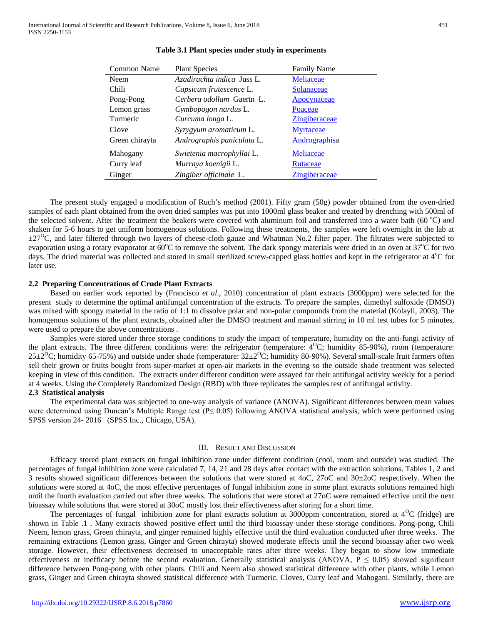| Common Name    | <b>Plant Species</b>       | <b>Family Name</b>   |
|----------------|----------------------------|----------------------|
| <b>Neem</b>    | Azadirachta indica Juss L. | Meliaceae            |
| Chili          | Capsicum frutescence L.    | Solanaceae           |
| Pong-Pong      | Cerbera odollam Gaertn L.  | <b>Apocynaceae</b>   |
| Lemon grass    | Cymbopogon nardus L.       | Poaceae              |
| Turmeric       | Curcuma longa L.           | <b>Zingiberaceae</b> |
| Clove          | Syzygyum aromaticum L.     | <b>Myrtaceae</b>     |
| Green chirayta | Andrographis paniculata L. | Andrographisa        |
| Mahogany       | Swietenia macrophyllai L.  | Meliaceae            |
| Curry leaf     | Murraya koenigii L.        | Rutaceae             |
| Ginger         | Zingiber officinale L.     | <b>Zingiberaceae</b> |

# **Table 3.1 Plant species under study in experiments**

 The present study engaged a modification of Ruch's method (2001). Fifty gram (50g) powder obtained from the oven-dried samples of each plant obtained from the oven dried samples was put into 1000ml glass beaker and treated by drenching with 500ml of the selected solvent. After the treatment the beakers were covered with aluminum foil and transferred into a water bath (60 °C) and shaken for 5-6 hours to get uniform homogenous solutions. Following these treatments, the samples were left overnight in the lab at  $\pm 27^{\circ}$ C, and later filtered through two layers of cheese-cloth gauze and Whatman No.2 filter paper. The filtrates were subjected to evaporation using a rotary evaporator at  $60^{\circ}$ C to remove the solvent. The dark spongy materials were dried in an oven at  $37^{\circ}$ C for two days. The dried material was collected and stored in small sterilized screw-capped glass bottles and kept in the refrigerator at 4°C for later use.

# **2.2 Preparing Concentrations of Crude Plant Extracts**

 Based on earlier work reported by (Francisco *et al*., 2010) concentration of plant extracts (3000ppm) were selected for the present study to determine the optimal antifungal concentration of the extracts. To prepare the samples, dimethyl sulfoxide (DMSO) was mixed with spongy material in the ratio of 1:1 to dissolve polar and non-polar compounds from the material (Kolayli, 2003). The homogenous solutions of the plant extracts, obtained after the DMSO treatment and manual stirring in 10 ml test tubes for 5 minutes, were used to prepare the above concentrations .

 Samples were stored under three storage conditions to study the impact of temperature, humidity on the anti-fungi activity of the plant extracts. The three different conditions were: the refrigerator (temperature:  $4^{\circ}$ C; humidity 85-90%), room (temperature:  $25\pm2^{\circ}$ C; humidity 65-75%) and outside under shade (temperature:  $32\pm2^{\circ}$ C; humidity 80-90%). Several small-scale fruit farmers often sell their grown or fruits bought from super-market at open-air markets in the evening so the outside shade treatment was selected keeping in view of this condition. The extracts under different condition were assayed for their antifungal activity weekly for a period at 4 weeks. Using the Completely Randomized Design (RBD) with three replicates the samples test of antifungal activity. **2.3 Statistical analysis** 

 The experimental data was subjected to one-way analysis of variance (ANOVA). Significant differences between mean values were determined using Duncan's Multiple Range test ( $P \le 0.05$ ) following ANOVA statistical analysis, which were performed using SPSS version 24- 2016 (SPSS Inc., Chicago, USA).

### III. RESULT AND DISCUSSION

 Efficacy stored plant extracts on fungal inhibition zone under different condition (cool, room and outside) was studied. The percentages of fungal inhibition zone were calculated 7, 14, 21 and 28 days after contact with the extraction solutions. Tables 1, 2 and 3 results showed significant differences between the solutions that were stored at 4oC, 27oC and 30±2oC respectively. When the solutions were stored at 4oC, the most effective percentages of fungal inhibition zone in some plant extracts solutions remained high until the fourth evaluation carried out after three weeks. The solutions that were stored at 27oC were remained effective until the next bioassay while solutions that were stored at 30oC mostly lost their effectiveness after storing for a short time.

The percentages of fungal inhibition zone for plant extracts solution at 3000ppm concentration, stored at  $4^{\circ}$ C (fridge) are shown in Table .1 . Many extracts showed positive effect until the third bioassay under these storage conditions. Pong-pong, Chili Neem, lemon grass, Green chirayta, and ginger remained highly effective until the third evaluation conducted after three weeks. The remaining extractions (Lemon grass, Ginger and Green chirayta) showed moderate effects until the second bioassay after two week storage. However, their effectiveness decreased to unacceptable rates after three weeks. They began to show low immediate effectiveness or inefficacy before the second evaluation. Generally statistical analysis (ANOVA,  $P \le 0.05$ ) showed significant difference between Pong-pong with other plants. Chili and Neem also showed statistical difference with other plants, while Lemon grass, Ginger and Green chirayta showed statistical difference with Turmeric, Cloves, Curry leaf and Mahogani. Similarly, there are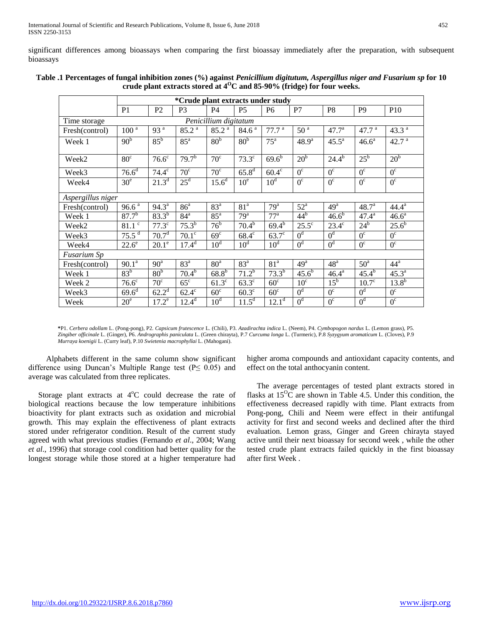significant differences among bioassays when comparing the first bioassay immediately after the preparation, with subsequent bioassays

|                                       | *Crude plant extracts under study |                       |                   |                   |                       |                   |                   |                     |                   |                     |
|---------------------------------------|-----------------------------------|-----------------------|-------------------|-------------------|-----------------------|-------------------|-------------------|---------------------|-------------------|---------------------|
|                                       | P <sub>1</sub>                    | P <sub>2</sub>        | P <sub>3</sub>    | <b>P4</b>         | P <sub>5</sub>        | P <sub>6</sub>    | P7                | P <sub>8</sub>      | P <sub>9</sub>    | P <sub>10</sub>     |
| Penicillium digitatum<br>Time storage |                                   |                       |                   |                   |                       |                   |                   |                     |                   |                     |
| Fresh(control)                        | $100^{\overline{a}}$              | 93 <sup>a</sup>       | 85.2 <sup>a</sup> | 85.2 <sup>a</sup> | 84.6 <sup>a</sup>     | 77.7 <sup>a</sup> | 50 <sup>a</sup>   | 47.7 <sup>a</sup>   | 47.7 <sup>a</sup> | 43.3 $a$            |
| Week 1                                | 90 <sub>p</sub>                   | $85^{\rm b}$          | $85^{\circ}$      | 80 <sup>b</sup>   | 80 <sup>b</sup>       | 75 <sup>a</sup>   | 48.9 <sup>a</sup> | $45.5^a$            | 46.6 <sup>a</sup> | 42.7 <sup>a</sup>   |
| Week <sub>2</sub>                     | $80^\circ$                        | $76.6^{\overline{c}}$ | 79.7 <sup>b</sup> | $70^{\circ}$      | $73.3^\circ$          | $69.6^{b}$        | 20 <sup>b</sup>   | $24.4^{b}$          | $25^{\rm b}$      | 20 <sup>b</sup>     |
| Week3                                 | 76.6 <sup>d</sup>                 | $74.4^\circ$          | $70^{\circ}$      | $\overline{70^c}$ | $65.8^{d}$            | $60.4^\circ$      | $\overline{0^c}$  | $\overline{0^c}$    | $\overline{0^c}$  | $\overline{0^c}$    |
| Week4                                 | 30 <sup>e</sup>                   | $21.3^d$              | $25^d$            | $15.6^d$          | 10 <sup>e</sup>       | 10 <sup>d</sup>   | $\overline{0^c}$  | $0^{\circ}$         | $0^{\circ}$       | $0^{\circ}$         |
| Aspergillus niger                     |                                   |                       |                   |                   |                       |                   |                   |                     |                   |                     |
| Fresh(control)                        | $96.6^{\overline{a}}$             | $94.3^a$              | 86 <sup>a</sup>   | 83 <sup>a</sup>   | 81 <sup>a</sup>       | 79 <sup>a</sup>   | $52^{\mathrm{a}}$ | 49 <sup>a</sup>     | 48.7 <sup>a</sup> | $44.4^a$            |
| Week 1                                | $87.7^{b}$                        | $83.3^{b}$            | 84 <sup>a</sup>   | $85^{\rm a}$      | 79 <sup>a</sup>       | 77 <sup>a</sup>   | 44 <sup>b</sup>   | 46.6 <sup>b</sup>   | $47.4^a$          | 46.6 <sup>a</sup>   |
| Week2                                 | $81.1$ $\degree$                  | 77.3 <sup>c</sup>     | $75.3^{b}$        | 76 <sup>b</sup>   | $70.\overline{4}^{b}$ | $69.4^{b}$        | $25.5^{\circ}$    | $23.4^\circ$        | $24^b$            | $25.\overline{6}^b$ |
| Week3                                 | $75.5^{\frac{1}{d}}$              | 70.7 <sup>d</sup>     | $70.1^\circ$      | 69 <sup>c</sup>   | $68.4^c$              | $63.7^\circ$      | 0 <sup>d</sup>    | 0 <sup>d</sup>      | $0^{\circ}$       | $0^{\circ}$         |
| Week4                                 | $22.6^\mathrm{e}$                 | $20.1^\circ$          | $17.4^d$          | $10^d$            | 10 <sup>d</sup>       | 10 <sup>d</sup>   | 0 <sup>d</sup>    | 0 <sup>d</sup>      | $0^{\circ}$       | $0^{\circ}$         |
| Fusarium Sp                           |                                   |                       |                   |                   |                       |                   |                   |                     |                   |                     |
| Fresh(control)                        | 90.1 <sup>a</sup>                 | 90 <sup>a</sup>       | 83 <sup>a</sup>   | 80 <sup>a</sup>   | 83 <sup>a</sup>       | 81 <sup>a</sup>   | 49 <sup>a</sup>   | 48 <sup>a</sup>     | $50^{\circ}$      | 44 <sup>a</sup>     |
| Week 1                                | 83 <sup>b</sup>                   | 80 <sup>b</sup>       | $70.4^{b}$        | $68.8^{b}$        | $71.2^{6}$            | $73.3^{b}$        | $45.6^{b}$        | $46.4^{\mathrm{a}}$ | $45.4^{b}$        | 45.3 <sup>a</sup>   |
| Week 2                                | 76.6 <sup>c</sup>                 | $70^{\circ}$          | $65^{\circ}$      | $61.3^\circ$      | $63.3^\circ$          | 60 <sup>c</sup>   | 10 <sup>c</sup>   | $15^{\rm b}$        | $10.7^\circ$      | $13.8^{b}$          |
| Week3                                 | $69.6^d$                          | $62.2^d$              | $62.4^\circ$      | $60^\circ$        | $60.3^\circ$          | 60 <sup>c</sup>   | 0 <sup>d</sup>    | $0^{\circ}$         | 0 <sup>d</sup>    | $0^{\circ}$         |
| Week                                  | 20 <sup>e</sup>                   | $17.2^e$              | $12.4^d$          | 10 <sup>d</sup>   | $11.\overline{5^d}$   | $12.1^{\rm d}$    | 0 <sup>d</sup>    | 0 <sup>c</sup>      | 0 <sup>d</sup>    | 0 <sup>c</sup>      |

| Table .1 Percentages of fungal inhibition zones (%) against Penicillium digitutum, Aspergillus niger and Fusarium sp for 10 |
|-----------------------------------------------------------------------------------------------------------------------------|
| crude plant extracts stored at $4^{\rm O}$ C and 85-90% (fridge) for four weeks.                                            |

**\***P1. *Cerbera odollam* L. (Pong-pong), P2. *Capsicum frutescence* L. (Chili), P3. *Azadirachta indica* L. (Neem), P4. *Cymbopogon nardus* L. (Lemon grass), P5. *Zingiber officinale* L. (Ginger), P6. *Andrographis paniculata* L. (Green chirayta)*,* P.7 *Curcuma longa* L. (Turmeric), P.8 *Syzygyum aromaticum* L. (Cloves), P.9 *Murraya koenigii* L. (Curry leaf), P.10 *Swietenia macrophyllai* L. (Mahogani).

 Alphabets different in the same column show significant difference using Duncan's Multiple Range test ( $P \le 0.05$ ) and average was calculated from three replicates.

Storage plant extracts at  $4^{\circ}$ C could decrease the rate of biological reactions because the low temperature inhibitions bioactivity for plant extracts such as oxidation and microbial growth. This may explain the effectiveness of plant extracts stored under refrigerator condition. Result of the current study agreed with what previous studies (Fernando *et al*., 2004; Wang *et al*., 1996) that storage cool condition had better quality for the longest storage while those stored at a higher temperature had

higher aroma compounds and antioxidant capacity contents, and effect on the total anthocyanin content.

 The average percentages of tested plant extracts stored in flasks at  $15^{\circ}$ C are shown in Table 4.5. Under this condition, the effectiveness decreased rapidly with time. Plant extracts from Pong-pong, Chili and Neem were effect in their antifungal activity for first and second weeks and declined after the third evaluation. Lemon grass, Ginger and Green chirayta stayed active until their next bioassay for second week , while the other tested crude plant extracts failed quickly in the first bioassay after first Week .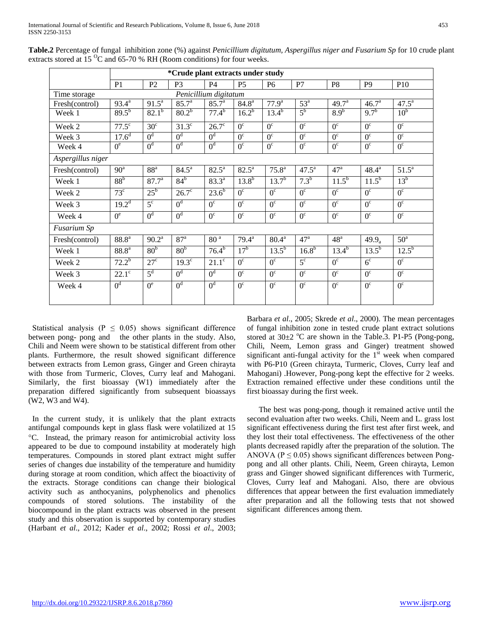|                                       | *Crude plant extracts under study |                   |                       |                   |                     |                   |                  |                       |                       |                 |
|---------------------------------------|-----------------------------------|-------------------|-----------------------|-------------------|---------------------|-------------------|------------------|-----------------------|-----------------------|-----------------|
|                                       | P <sub>1</sub>                    | P <sub>2</sub>    | P <sub>3</sub>        | P4                | P <sub>5</sub>      | P <sub>6</sub>    | P7               | P <sub>8</sub>        | P <sub>9</sub>        | P <sub>10</sub> |
| Penicillium digitatum<br>Time storage |                                   |                   |                       |                   |                     |                   |                  |                       |                       |                 |
| Fresh(control)                        | $93.4^{\rm a}$                    | $91.5^a$          | 85.7 <sup>a</sup>     | 85.7 <sup>a</sup> | 84.8 <sup>a</sup>   | $77.9^{\rm a}$    | $53^{\circ}$     | 49.7 <sup>a</sup>     | 46.7 <sup>a</sup>     | $47.5^{\circ}$  |
| Week 1                                | $89.5^{b}$                        | $82.1^{b}$        | $80.2^{b}$            | 77.4 <sup>b</sup> | $16.2^{b}$          | $13.4^{b}$        | $5^{\rm b}$      | 8.9 <sup>b</sup>      | $9.7^{b}$             | 10 <sup>b</sup> |
| Week 2                                | $77.5^{\circ}$                    | 30 <sup>c</sup>   | $31.3^\circ$          | $26.7^\circ$      | $0^{\circ}$         | $0^{\circ}$       | $0^{\circ}$      | $0^{\circ}$           | $0^{\circ}$           | $0^{\circ}$     |
| Week 3                                | $17.\overline{6}$ <sup>d</sup>    | 0 <sup>d</sup>    | 0 <sup>d</sup>        | 0 <sup>d</sup>    | $0^{\circ}$         | $\overline{0^c}$  | $0^{\circ}$      | $\overline{0^c}$      | $\overline{0^c}$      | $0^{\circ}$     |
| Week 4                                | $0^e$                             | 0 <sup>d</sup>    | 0 <sup>d</sup>        | 0 <sup>d</sup>    | $\overline{0^c}$    | $\overline{0^c}$  | $\overline{0^c}$ | $\overline{0^c}$      | $\overline{0^c}$      | $0^{\circ}$     |
| Aspergillus niger                     |                                   |                   |                       |                   |                     |                   |                  |                       |                       |                 |
| Fresh(control)                        | 90 <sup>a</sup>                   | 88 <sup>a</sup>   | $84.5^{\circ}$        | $82.5^{\circ}$    | $82.5^{\circ}$      | $75.8^{\rm a}$    | $47.5^{\rm a}$   | 47 <sup>a</sup>       | $48.4^{\rm a}$        | $51.5^{\circ}$  |
| Week 1                                | 88 <sup>b</sup>                   | $87.7^{\circ}$    | $84^b$                | $83.3^{\circ}$    | $13.8^{b}$          | $13.7^{b}$        | 7.3 <sup>b</sup> | $11.\overline{5}^{b}$ | $11.\overline{5^{b}}$ | $13^b$          |
| Week 2                                | $73^{\circ}$                      | $25^{\rm b}$      | $26.7^\circ$          | $23.6^{6}$        | $0^{\circ}$         | $0^{\circ}$       | $0^{\circ}$      | $0^{\circ}$           | $0^{\circ}$           | $0^{\circ}$     |
| Week 3                                | $19.2^{\rm d}$                    | $\overline{5^c}$  | 0 <sup>d</sup>        | $0^{\circ}$       | $0^{\circ}$         | $0^{\circ}$       | $0^{\circ}$      | $0^{\circ}$           | $0^{\circ}$           | $0^{\circ}$     |
| Week 4                                | $0^e$                             | 0 <sup>d</sup>    | 0 <sup>d</sup>        | $0^{\circ}$       | $\overline{0^c}$    | $\overline{0^c}$  | $0^{\circ}$      | $0^{\circ}$           | $0^{\circ}$           | $0^{\circ}$     |
| Fusarium Sp                           |                                   |                   |                       |                   |                     |                   |                  |                       |                       |                 |
| Fresh(control)                        | 88.8 <sup>a</sup>                 | $90.2^{\text{a}}$ | 87 <sup>a</sup>       | 80 <sup>a</sup>   | $79.4^{\mathrm{a}}$ | $80.4^{\text{a}}$ | 47 <sup>a</sup>  | 48 <sup>a</sup>       | $49.9_a$              | $50^{\circ}$    |
| Week 1                                | 88.8 <sup>a</sup>                 | 80 <sup>b</sup>   | 80 <sup>b</sup>       | $76.4^{6}$        | 17 <sup>b</sup>     | $13.5^{b}$        | $16.8^{b}$       | $13.4^{b}$            | $13.5^{6}$            | $12.5^{b}$      |
| Week 2                                | $72.2^b$                          | $27^{\circ}$      | $19.3^{\overline{c}}$ | $21.1^\circ$      | $0^{\circ}$         | $0^{\circ}$       | $5^{\circ}$      | $0^{\circ}$           | 6 <sup>c</sup>        | $0^{\circ}$     |
| Week 3                                | $22.1^\circ$                      | 5 <sup>d</sup>    | 0 <sup>d</sup>        | 0 <sup>d</sup>    | $0^{\circ}$         | $\overline{0^c}$  | $0^{\circ}$      | $0^{\circ}$           | $0^{\circ}$           | $0^{\circ}$     |
| Week 4                                | 0 <sup>d</sup>                    | $0^e$             | 0 <sup>d</sup>        | 0 <sup>d</sup>    | $0^{\circ}$         | $0^{\circ}$       | $0^{\circ}$      | $\overline{0^c}$      | $0^{\circ}$           | $0^{\circ}$     |

**Table.2** Percentage of fungal inhibition zone (%) against *Penicillium digitutum, Aspergillus niger and Fusarium Sp* for 10 crude plant extracts stored at 15 $\mathrm{^{0}C}$  and 65-70 % RH (Room conditions) for four weeks.

Statistical analysis ( $P \leq 0.05$ ) shows significant difference between pong- pong andthe other plants in the study. Also, Chili and Neem were shown to be statistical different from other plants. Furthermore, the result showed significant difference between extracts from Lemon grass, Ginger and Green chirayta with those from Turmeric, Cloves, Curry leaf and Mahogani. Similarly, the first bioassay (W1) immediately after the preparation differed significantly from subsequent bioassays (W2, W3 and W4).

 In the current study, it is unlikely that the plant extracts antifungal compounds kept in glass flask were volatilized at 15 °C. Instead, the primary reason for antimicrobial activity loss appeared to be due to compound instability at moderately high temperatures. Compounds in stored plant extract might suffer series of changes due instability of the temperature and humidity during storage at room condition, which affect the bioactivity of the extracts. Storage conditions can change their biological activity such as anthocyanins, polyphenolics and phenolics compounds of stored solutions. The instability of the biocompound in the plant extracts was observed in the present study and this observation is supported by contemporary studies (Harbant *et al*., 2012; Kader *et al*., 2002; Rossi *et al*., 2003; Barbara *et al*., 2005; Skrede *et al*., 2000). The mean percentages of fungal inhibition zone in tested crude plant extract solutions stored at  $30\pm2$  °C are shown in the Table.3. P1-P5 (Pong-pong, Chili, Neem, Lemon grass and Ginger) treatment showed significant anti-fungal activity for the  $1<sup>st</sup>$  week when compared with P6-P10 (Green chirayta, Turmeric, Cloves, Curry leaf and Mahogani) .However, Pong-pong kept the effective for 2 weeks. Extraction remained effective under these conditions until the first bioassay during the first week.

 The best was pong-pong, though it remained active until the second evaluation after two weeks. Chili, Neem and L. grass lost significant effectiveness during the first test after first week, and they lost their total effectiveness. The effectiveness of the other plants decreased rapidly after the preparation of the solution. The ANOVA ( $P \le 0.05$ ) shows significant differences between Pongpong and all other plants. Chili, Neem, Green chirayta, Lemon grass and Ginger showed significant differences with Turmeric, Cloves, Curry leaf and Mahogani. Also, there are obvious differences that appear between the first evaluation immediately after preparation and all the following tests that not showed significant differences among them.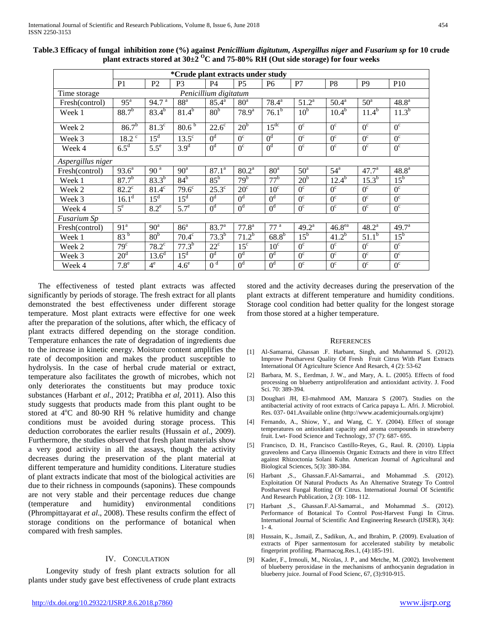|                                       | *Crude plant extracts under study |                    |                   |                   |                   |                  |                 |                    |                  |                   |
|---------------------------------------|-----------------------------------|--------------------|-------------------|-------------------|-------------------|------------------|-----------------|--------------------|------------------|-------------------|
|                                       | P <sub>1</sub>                    | P <sub>2</sub>     | P <sub>3</sub>    | P <sub>4</sub>    | P <sub>5</sub>    | P <sub>6</sub>   | P7              | P <sub>8</sub>     | P <sub>9</sub>   | <b>P10</b>        |
| Penicillium digitatum<br>Time storage |                                   |                    |                   |                   |                   |                  |                 |                    |                  |                   |
| Fresh(control)                        | $95^{\mathrm{a}}$                 | 94.7 <sup>a</sup>  | 88 <sup>a</sup>   | $85.4^{a}$        | 80 <sup>a</sup>   | $78.4^a$         | $51.2^a$        | $50.4^{\rm a}$     | 50 <sup>a</sup>  | 48.8 <sup>a</sup> |
| Week 1                                | $88.7^{b}$                        | $83.4^{b}$         | $81.4^{b}$        | 80 <sup>b</sup>   | 78.9 <sup>a</sup> | $76.1^b$         | 10 <sup>b</sup> | $10.4^{\rm b}$     | $11.4^b$         | $11.3^{b}$        |
| Week 2                                | $86.7^{b}$                        | $81.3^\circ$       | 80.6 <sup>5</sup> | $22.6^\circ$      | 20 <sup>b</sup>   | 15 <sup>dc</sup> | $0^{\circ}$     | $0^{\circ}$        | $0^{\circ}$      | $0^{\circ}$       |
| Week 3                                | $18.2^{\overline{c}}$             | $15^d$             | $13.5^\circ$      | 0 <sup>d</sup>    | $\overline{0^c}$  | 0 <sup>d</sup>   | $0^{\circ}$     | $\overline{0^c}$   | $\overline{0^c}$ | $0^{\circ}$       |
| Week 4                                | 6.5 <sup>d</sup>                  | $\overline{5.5^e}$ | 3.9 <sup>d</sup>  | 0 <sup>d</sup>    | $\overline{0^c}$  | 0 <sup>d</sup>   | $0^{\circ}$     | $\overline{0^c}$   | $\overline{0^c}$ | $0^{\circ}$       |
| Aspergillus niger                     |                                   |                    |                   |                   |                   |                  |                 |                    |                  |                   |
| Fresh(control)                        | $93.6^{\circ}$                    | 90 <sup>a</sup>    | 90 <sup>a</sup>   | $87.1^{\circ}$    | $80.2^{\text{a}}$ | 80 <sup>a</sup>  | 50 <sup>a</sup> | $54^{\circ}$       | $47.7^{\circ}$   | $48.8^{\rm a}$    |
| Week 1                                | $87.7^{b}$                        | $83.3^{b}$         | $84^{\rm b}$      | $85^{\rm b}$      | 79 <sup>b</sup>   | $77^{\rm b}$     | 20 <sup>b</sup> | $12.4^b$           | $15.3^{b}$       | $15^{\rm b}$      |
| Week 2                                | $82.2^{\circ}$                    | $81.4^\circ$       | 79.6 <sup>c</sup> | $25.3^\circ$      | $20^{\circ}$      | 10 <sup>c</sup>  | $0^{\circ}$     | $\overline{0^c}$   | $0^{\circ}$      | $0^{\circ}$       |
| Week 3                                | $16.\overline{1^d}$               | $15^d$             | $15^d$            | 0 <sup>d</sup>    | 0 <sup>d</sup>    | 0 <sup>d</sup>   | $0^{\circ}$     | $0^{\circ}$        | $0^{\circ}$      | $0^{\circ}$       |
| Week 4                                | $5^{\text{e}}$                    | $8.2^e$            | $5.7^e$           | 0 <sup>d</sup>    | 0 <sup>d</sup>    | 0 <sup>d</sup>   | $0^{\circ}$     | $\overline{0^c}$   | $0^{\circ}$      | $0^{\circ}$       |
| Fusarium Sp                           |                                   |                    |                   |                   |                   |                  |                 |                    |                  |                   |
| Fresh(control)                        | 91 <sup>a</sup>                   | 90 <sup>a</sup>    | 86 <sup>a</sup>   | 83.7 <sup>a</sup> | 77.8 <sup>a</sup> | 77 <sup>a</sup>  | $49.2^a$        | 46.8 <sup>ea</sup> | $48.2^{\rm a}$   | 49.7 <sup>a</sup> |
| Week 1                                | 83 <sup>b</sup>                   | 80 <sup>b</sup>    | $70.4^\circ$      | $73.3^{b}$        | $71.2^b$          | $68.8^{b}$       | $15^{\rm b}$    | $41.2^{b}$         | $51.1^b$         | $15^{\rm b}$      |
| Week 2                                | 79 <sup>c</sup>                   | $78.2^{\circ}$     | $77.3^{b}$        | $22^{\circ}$      | 15 <sup>c</sup>   | 10 <sup>c</sup>  | $0^{\circ}$     | $\overline{0^c}$   | $0^{\circ}$      | $\overline{0^c}$  |
| Week 3                                | 20 <sup>d</sup>                   | 13.6 <sup>d</sup>  | $15^d$            | 0 <sup>d</sup>    | 0 <sup>d</sup>    | 0 <sup>d</sup>   | $0^{\circ}$     | $0^{\circ}$        | $0^{\circ}$      | $0^{\circ}$       |
| Week 4                                | $7.8^e$                           | $4^e$              | $4.6^e$           | 0 <sup>d</sup>    | 0 <sup>d</sup>    | 0 <sup>d</sup>   | $0^{\circ}$     | $0^{\circ}$        | $0^{\circ}$      | $0^{\circ}$       |

**Table.3 Efficacy of fungal inhibition zone (%) against** *Penicillium digitutum, Aspergillus niger* **and** *Fusarium sp* **for 10 crude plant extracts stored at 30±2 OC and 75-80% RH (Out side storage) for four weeks**

 The effectiveness of tested plant extracts was affected significantly by periods of storage. The fresh extract for all plants demonstrated the best effectiveness under different storage temperature. Most plant extracts were effective for one week after the preparation of the solutions, after which, the efficacy of plant extracts differed depending on the storage condition. Temperature enhances the rate of degradation of ingredients due to the increase in kinetic energy. Moisture content amplifies the rate of decomposition and makes the product susceptible to hydrolysis. In the case of herbal crude material or extract, temperature also facilitates the growth of microbes, which not only deteriorates the constituents but may produce toxic substances (Harbant *et al*., 2012; Pratibha *et al*, 2011). Also this study suggests that products made from this plant ought to be stored at 4°C and 80-90 RH % relative humidity and change conditions must be avoided during storage process. This deduction corroborates the earlier results (Hussain *et al.*, 2009). Furthermore, the studies observed that fresh plant materials show a very good activity in all the assays, though the activity decreases during the preservation of the plant material at different temperature and humidity conditions. Literature studies of plant extracts indicate that most of the biological activities are due to their richness in compounds (saponins). These compounds are not very stable and their percentage reduces due change (temperature and humidity) environmental conditions (Phrompittayarat *et al*., 2008). These results confirm the effect of storage conditions on the performance of botanical when compared with fresh samples.

# IV. CONCULATION

 Longevity study of fresh plant extracts solution for all plants under study gave best effectiveness of crude plant extracts stored and the activity decreases during the preservation of the plant extracts at different temperature and humidity conditions. Storage cool condition had better quality for the longest storage from those stored at a higher temperature.

#### **REFERENCES**

- [1] Al-Samarrai, Ghassan .F. Harbant, Singh, and Muhammad S. (2012). Improve Postharvest Quality Of Fresh Fruit Citrus With Plant Extracts International Of Agriculture Science And Resarch, 4 (2): 53-62
- [2] Barbara, M. S., Eerdman, J. W., and Mary, A. L. (2005). Effects of food processing on blueberry antiproliferation and antioxidant activity. J. Food Sci. 70: 389-394.
- [3] Doughari JH, El-mahmood AM, Manzara S (2007). Studies on the antibacterial activity of root extracts of Carica papaya L. Afri. J. Microbiol. Res. 037- 041.Available online (http://www.academicjournals.org/ajmr)
- [4] Fernando, A., Shiow, Y., and Wang, C. Y. (2004). Effect of storage temperatures on antioxidant capacity and aroma compounds in strawberry fruit. Lwt- Food Science and Technology, 37 (7): 687- 695.
- [5] Francisco, D. H., Francisco Castillo-Reyes, G., Raul. R. (2010). Lippia graveolens and Carya illinoensis Organic Extracts and there in vitro Effect against Rhizoctonia Solani Kuhn. American Journal of Agricultural and Biological Sciences, 5(3): 380-384.
- [6] Harbant ,S., Ghassan.F.Al-Samarrai., and Mohammad .S. (2012). Exploitation Of Natural Products As An Alternative Strategy To Control Postharvest Fungal Rotting Of Citrus. International Journal Of Scientific And Research Publication, 2 (3): 108- 112.
- [7] Harbant ,S., Ghassan.F.Al-Samarrai., and Mohammad .S.. (2012). Performance of Botanical To Control Post-Harvest Fungi In Citrus. International Journal of Scientific And Engineering Research (IJSER), 3(4): 1- 4.
- [8] Hussain, K., .Ismail, Z., Sadikun, A., and Ibrahim, P. (2009). Evaluation of extracts of Piper sarmentosum for accelerated stability by metabolic fingerprint profiling. Pharmacog.Res.1, (4):185-191.
- [9] Kader, F., Irmouli, M., Nicolas, J. P., and Metche, M. (2002). Involvement of blueberry peroxidase in the mechanisms of anthocyanin degradation in blueberry juice. Journal of Food Scienc, 67, (3):910-915.